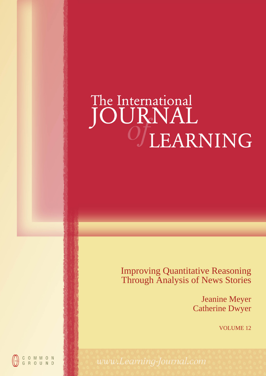# The International<br>JOURNAL<br>UEARNING

Improving Quantitative Reasoning Through Analysis of News Stories

> Jeanine Meyer Catherine Dwyer

> > VOLUME 12

COMMON<br>GROUND

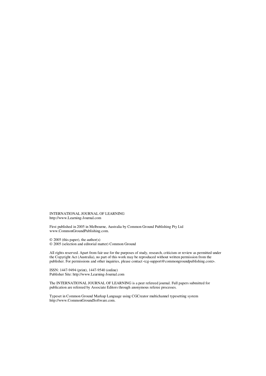INTERNATIONAL JOURNAL OF LEARNING http://www.Learning-Journal.com

First published in 2005 in Melbourne, Australia by Common Ground Publishing Pty Ltd www.CommonGroundPublishing.com.

© 2005 (this paper), the author(s) © 2005 (selection and editorial matter) Common Ground

All rights reserved. Apart from fair use for the purposes of study, research, criticism or review as permitted under the Copyright Act (Australia), no part of this work may be reproduced without written permission from the publisher. For permissions and other inquiries, please contact <cg-support@commongroundpublishing.com>.

ISSN: 1447-9494 (print), 1447-9540 (online) Publisher Site: http://www.Learning-Journal.com

The INTERNATIONAL JOURNAL OF LEARNING is a peer refereed journal. Full papers submitted for publication are refereed by Associate Editors through anonymous referee processes.

Typeset in Common Ground Markup Language using CGCreator multichannel typesetting system http://www.CommonGroundSoftware.com.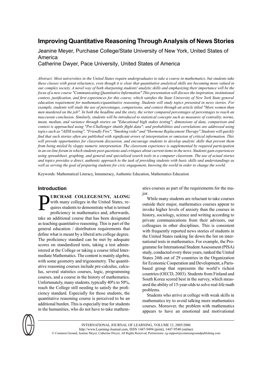# **Improving Quantitative Reasoning Through Analysis of News Stories**

Jeanine Meyer, Purchase College/State University of New York, United States of America

Catherine Dwyer, Pace University, United States of America

Abstract: Most universities in the United States require undergraduates to take a course in mathematics, but students take these classes with great reluctance, even though it is clear that quantitative analytical skills are becoming more valued in our complex society. A novel way of both sharpening students' analytic skills and emphasizing their importance will be the *focus of a new course "Communicating Quantitative Information".This presentation will discussthe inspiration, institutional* context, justification, and first experiences for this course, which satisfies the State University of New York State general *education requirement for mathematics/quantitative reasoning. Students will study topics presented in news stories. For* example, students will study the use of percentages, comparisons, and context through an article titled "More women than men murdered on the job". In both the headline and the story, the writer compared percentages of percentages to reach an inaccurate conclusion. Similarly, students will be introduced to statistical concepts such as measures of centrality, norms, mean, median, and variance through stories on "Educational high stakes testing"; dimensions of data, comparison and context is approached using "Pre-Challenger shuttle flight data"; and probabilities and correlations are addressed using *topics such as "AIDS testing", "Friendly Fire", "Smoking risks" and "Hormone Replacement Therapy".Students will quickly* find that such stories often are published with significant errors of interpretation or omission of critical information. This will provide opportunities for classroom discussion, and encourage students to develop analytic skills that prevent them *from being misled by sloppy numeric interpretation. The classroom experience is supplemented by required participation* in an on-line forum in which students post questions and critiques about current items in the news. Students gain experiences using spreadsheet, graphing, and general and specialized search tools in a computer classroom. The use of actual stories and topics provides a direct, authentic approach to the task of providing students with basic skills and understandings as well as serving the goal of preparing students for civic engagement, knowing the world in order to change the world.

Keywords: Mathematical Literacy, Innumeracy, Authentic Education, Mathematics Education

# **Introduction**

P **URCHASE COLLEGE/SUNY, ALONG** with many colleges in the United States, requires students to demonstrate what is termed proficiency in mathematics and, afterwards, take an additional course that has been designated as teaching quantitative reasoning. This is part of the general education / distribution requirements that define what is meant by a liberal arts college degree. The proficiency standard can be met by adequate scores on standardized tests, taking a test administered at the College or taking a course titled Intermediate Mathematics. The content is mainly algebra, with some geometry and trigonometry. The quantitative reasoning courses include pre-calculus, calculus, several statistics courses, logic, programming courses, and a course in the history of mathematics. Unfortunately, many students, typically 40% to 50%, reach the College still needing to satisfy the proficiency standard. Especially for those students, the quantitative reasoning course is perceived to be an additional burden. This is especially true for students in the humanities, who do not have to take mathem-

atics courses as part of the requirements for the major.

While many students are reluctant to take courses outside their major, mathematics courses appear to invoke higher levels of anxiety than the courses in history, sociology, science and writing according to private communications from their advisors, our colleagues in other disciplines. This is consistent with frequently reported news stories of students in the United States ranking far down the list on international tests in mathematics. For example, the Programme for InternationalStudent Assessment (PISA) study, conducted every three years, ranked the United States 24th out of 29 countries in the Organization for Economic Cooperation and Development, a Parisbased group that represents the world's richest countries (OECD, 2003). Students from Finland and South Korea scored best in the survey, which measured the ability of 15-year-olds to solve real-life math problems.

Students who arrive at college with weak skills in mathematics try to avoid talking more mathematics courses. Moreover, the problem with mathematics appears to have an emotional and motivational



INTERNATIONAL JOURNAL OF LEARNING, VOLUME 12, 2005/2006 http://www.Learning-Journal.com, ISSN 1447-9494 (print), 1447-9540 (online) © Common Ground, Jeanine Meyer, Catherine Dwyer, All Rights Reserved, Permissions: cg-support@commongroundpublishing.com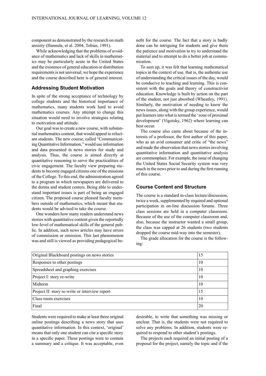component as demonstrated by the research on math anxiety (Hannula, et al. 2004, Tobias, 1991).

While acknowledging that the problems of avoidance of mathematics and lack of skills in mathematics may be particularly acute in the United States and the existence of general education or distribution requirements is not universal, we hope the experience and the course described here is of general interest.

# **Addressing Student Motivation**

In spite of the strong acceptance of technology by college students and the historical importance of mathematics, many students work hard to avoid mathematics courses. Any attempt to change this situation would need to involve strategies relating to motivation and attitude.

Our goal was to create a new course, with substantial mathematics content, that would appeal to reluctant students. The new course, called "Communicating Quantitative Information," would use information and data presented in news stories for study and analysis. Thus, the course is aimed directly at quantitative reasoning to serve the practicalities of civic engagement. The faculty view preparing students to become engaged citizens one of the missions of the College. To this end, the administration agreed to a program in which newspapers are delivered to the dorms and student centers. Being able to understand important issues is part of being an engaged citizen. The proposed course pleased faculty members outside of mathematics, which meant that students would be advised to take the course.

One wonders how many readers understand news stories with quantitative content given the reportedly low-level of mathematical skills of the general public. In addition, such news articles may have errors of commission or omission. This last phenomenon was and still is viewed as providing pedagogical benefit for the course. The fact that a story is badly done can be intriguing for students and give them the patience and motivation to try to understand the material and to attempt to do a better job at communication.

To sum up, it was felt that learning mathematical topics in the context of use, that is, the authentic use of understanding the critical issues of the day, would be conducive to teaching and learning. This is consistent with the goals and theory of constructivist education. Knowledge is built by action on the part of the student, not just absorbed (Wheatley, 1991). Similarly, the motivation of needing to know the newsissues, along with the group experience, would put learnersinto what istermed the 'zone of proximal development' (Vigotsky, 1962) where learning can best occur.

The course also came about because of the interests of a professor, the first author of this paper, who as an avid consumer and critic of "the news" and made the observation that news stories involving quantitative information and quantitative analysis are commonplace.For example, the issue of changing the United States Social Security system was very much in the news prior to and during the first running of this course.

# **Course Content and Structure**

The course is a standard in-class lecture/discussion, twice a week, supplemented by required and optional participation in on-line discussion forums. Three class sessions are held in a computer classroom. Because of the use of the computer classroom and, also, because the instructor wanted a small group, the class was capped at 26 students (two students dropped the course mid-way into the semester).

The grade allocation for the course is the following:

| Original Blackboard postings on news stories   | 15 |
|------------------------------------------------|----|
| Responses to other postings                    | 10 |
| Spreadsheet and graphing exercises             | 10 |
| Project I: story re-write                      | 10 |
| Midterm                                        | 10 |
| Project II: story re-write or interview report | 15 |
| Class room exercises                           | 10 |
| Final                                          | 20 |

Students were required to make at least three original online postings describing a news story that uses quantitative information. In this context, 'original' means that only one student can cite a specific story in a specific paper. These postings were to contain a summary and a critique. It was acceptable, even desirable, to write that something was missing or unclear. That is, the students were not required to solve any problems. In addition, students were required to respond to other student's postings.

The projects each required an initial posting of a proposal for the project, namely the topic and if the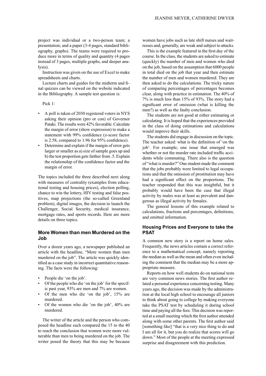project was individual or a two-person team; a presentation; and a paper (3-4 pages, standard bibliography, graphs). The teams were required to produce more in terms of quality and quantity (4 pages instead of 3 pages, multiple graphs, and deeper analysis).

Instruction was given on the use of Excel to make spreadsheets and charts.

Lecture charts and guides for the midterm and final quizzes can be viewed on the website indicated in the Bibliography. A sample test question is:

Pick 1:

- A poll is taken of 2030 registered voters in NYS asking their opinion (pro or con) of Governor Pataki. The results were 42% favorable. Calculate the margin of error (show expression) to make a statement with 99% confidence (z-score factor is 2.58, compared to 1.96 for 95% confidence).
- Determine and explain if the margin of error gets larger or smaller as a) size of sample goes up and b) the test proportion gets farther from .5. Explain the relationship of the confidence factor and the margin of error.

The topics included the three described next along with measures of centrality (examples from educational testing and housing prices), election polling, chance to win the lottery, HIV testing and false positives, map projections (the so-called Greenland problem), digital images, the decision to launch the Challenger, Social Security, medical insurance, mortgage rates, and sports records. Here are more details on three topics.

# **More Women than men Murdered on the Job**

Over a dozen years ago, a newspaper published an article with the headline, "More women than men murdered on the job". The article was quickly identified as a case study in incorrect quantitative reasoning. The facts were the following:

- People die 'on the job'.
- Of the people who die 'on the job' for the specific past year, 93% are men and 7% are women.
- Of the men who die 'on the job', 15% are murdered.
- Of the women who die 'on the job', 40% are murdered.

The writer of the article and the person who composed the headline each compared the 15 to the 40 to reach the conclusion that women were more vulnerable than men to being murdered on the job. The writer posed the theory that this may be because women have jobs such as late shift nurses and waitresses and, generally, are weak and subject to attacks.

This is the example featured in the first day of the course. In the class, the students are asked to estimate (quickly) the number of men and women who died on the job, based on the assumption that 6000 people in total died on the job that year and then estimate the number of men and women murdered. They are then asked to do the calculations. The tricky nature of comparing percentages of percentages becomes clear, along with practice in estimation. The 40% of 7% is much less than 15% of 93%. The story had a significant error of omission (what is killing the men?) as well as the faulty conclusion.

The students are not good at either estimating or calculating. It is hoped that the experiences provided in the class of doing estimations and calculations would improve their skills.

The students did engage in discussion on the topic. The teacher asked: what is the definition of 'on the job'. For example, one issue that emerged was whether or not the murder rate included traffic accidents while commuting. There also is the question of "what is murder?" One student made the comment that the jobs probably were limited to legal occupations and that the omission of prostitution may have had a significant effect on the proportions. The teacher responded that this was insightful, but it probably would have been the case that illegal activity by males was at least as prevalent and dangerous as illegal activity by females.

The general lessons of this example related to calculations, fractions and percentages, definitions, and omitted information.

# **Housing Prices and Everyone to take the PSAT**

A common new story is a report on home sales. Frequently, the news articles contain a correct reference to a mathematical concept, namely reporting the median as well as the mean and often even including the comment that the median may be a more appropriate measure.

Reports on how well students do on national tests are very common news stories. The first author related a personal experience concerning testing. Many years ago, the decision was made by the administration at the local high school to encourage all juniors to think about going to college by making everyone take the PSAT test by scheduling it during school time and paying all the fees. This decision was reported at a small meeting which the first author attended along with some other parents. The first author said [something like] "that is a very nice thing to do and I am all for it, but you do realize that scores will go down." Most of the people at the meeting expressed surprise and disagreement with this prediction.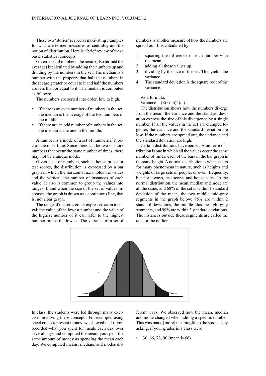These two 'stories' served as motivating examples for what are termed measures of centrality and the notion of distribution. Here is a brief review of these basic statistical concepts.

Given a set of numbers, the mean (also termed the average) is calculated by adding the numbers up and dividing by the numbers in the set. The median is a number with the property that half the numbers in the set are greater or equal to it and half the numbers are less than or equal to it. The median is computed as follows:

The numbers are sorted into order, low to high.

- If there is an even number of numbers in the set, the median is the average of the two numbers in the middle.
- If there are an odd number of numbers in the set, the median is the one in the middle.

A number is a mode of a set of numbers if it occurs the most time. Since there can be two or more numbers that occur the same number of times, there may not be a unique mode.

Given a set of numbers, such as house prices or test scores, the distribution is expressed by a bar graph in which the horizontal axis holds the values and the vertical, the number of instances of each value. It also is common to group the values into ranges. If and when the size of the set of values increases, the graph is drawn as a continuous line, that is, not a bar graph.

The range of the set is either expressed as an interval: the value of the lowest number and the value of the highest number or it can refer to the highest number minus the lowest. The variance of a set of numbers is another measure of how the numbers are spread out. It is calculated by

- 1. squaring the difference of each number with the mean,
- 2. adding all these values up,
- 3. dividing by the size of the set. This yields the variance.
- 4. The standard deviation is the square root of the variance.

As a formula,

#### Variance =  $(\Sigma(xi-m)2)/n)$

The distribution shows how the numbers diverge from the mean; the variance and the standard deviation express the size of this divergence by a single number. If all the values in the set are clumped together, the variance and the standard deviation are low. If the numbers are spread out, the variance and the standard deviation are high.

Certain distributions have names. A uniform distribution is one in which all the values occur the same number of times: each of the bars in the bar graph is the same height. A normal distribution is what occurs for many phenomena in nature, such as heights and weights of large sets of people, or even, frequently, but not always, test scores and house sales. In the normal distribution, the mean, median and mode are all the same, and 68% of the set is within 1 standard deviation of the mean, the two middle mid-gray segments in the graph below: 95% are within 2 standard deviations, the middle plus the light gray segments, and 99% are within 3 standard deviations. The instances outside these segments are called the tails or the outliers.



In class, the students were led through many exercises involving these concepts. For example, using checkers to represent money, we showed that if you recorded what you spent for meals each day over several days and computed the mean, you spent the same amount of money as spending the mean each day. We computed means, medians and modes dif-

ferent ways. We observed how the mean, median and mode changed when adding a specific number. This was made [more] meaningful to the students by asking, if your grades in a class were

• 30, 66, 78, 90 (mean is 66)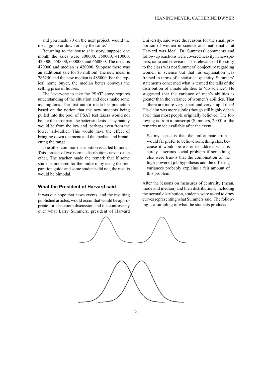and you made 70 on the next project, would the mean go up or down or stay the same?

Returning to the house sale story, suppose one month the sales were 300000, 350000, 410000, 420000, 550000, 600000, and 660000. The mean is 470000 and median is 420000. Suppose there was an additional sale for \$3 million! The new mean is 786250 and the new median is 485000. For the typical home buyer, the median better conveys the selling price of houses.

The 'everyone to take the PSAT' story requires understanding of the situation and does make some assumptions. The first author made her prediction based on the notion that the new students being pulled into the pool of PSAT test takers would not be, for the most part, the better students. They mainly would be from the low end, perhaps even from the lower tail/outlier. This would have the effect of bringing down the mean and the median and broadening the range.

One other common distribution is called bimodal. This consists of two normal distributions next to each other. The teacher made the remark that if some students prepared for the midterm by using the preparation guide and some students did not, the results would be bimodal.

#### **What the President of Harvard said**

It was our hope that news events, and the resulting published articles, would occur that would be appropriate for classroom discussion and the controversy over what Larry Summers, president of Harvard University, said were the reasons for the small proportion of women in science and mathematics at Harvard was ideal. Dr. Summers' comments and follow-up reactions were covered heavily in newspapers, radio and television. The relevance of the story to the class was not Summers' conjecture regarding women in science but that his explanation was framed in terms of a statistical quantity. Summers' statements concerned what is termed the tails of the distribution of innate abilities to 'do science'. He suggested that the variance of men's abilities is greater than the variance of women's abilities. That is, there are more very smart and very stupid men! His claim was more subtle (though still highly debatable) than most people originally believed. The following is from a transcript (Summers, 2005) of the remarks made available after the event:

So my sense is that the unfortunate truth-I would far prefer to believe something else, because it would be easier to address what is surely a serious social problem if something else were true-is that the combination of the high-powered job hypothesis and the differing variances probably explains a fair amount of this problem.

After the lessons on measures of centrality (mean, mode and median) and then distributions, including the normal distribution, students were asked to draw curves representing what Summers said. The following is a sampling of what the students produced.

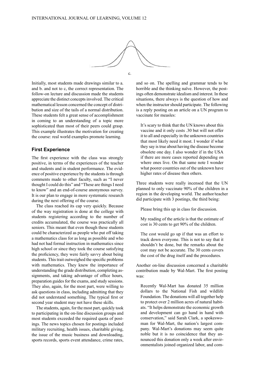

Initially, most students made drawings similar to a. and b. and not to c, the correct representation. The follow-on lecture and discussion made the students appreciate the distinct conceptsinvolved. The critical mathematical lesson concerned the concept of distribution and size of the tails of a normal distribution. These students felt a great sense of accomplishment in coming to an understanding of a topic more sophisticated than most of their peers could grasp. This example illustrates the motivation for creating the course: real world examples promote learning.

# **First Experience**

The first experience with the class was strongly positive, in terms of the experiences of the teacher and students and in student performance. The evidence of positive experience by the students is through comments made to other faculty, such as "I never thought I could do this" and "These are things I need to know" and an end-of-course anonymous survey. It is our plan to engage in more systematic research during the next offering of the course.

The class reached its cap very quickly. Because of the way registration is done at the college with students registering according to the number of credits accumulated, the course was practically all seniors. This meant that even though these students could be characterized as people who put off taking a mathematics class for as long as possible and who had not had formal instruction in mathematics since high school or since they took the course satisfying the proficiency, they were fairly savvy about being students. This trait outweighed the specific problems with mathematics. They knew the importance of understanding the grade distribution, completing assignments, and taking advantage of office hours, preparation guides for the exams, and study sessions. They also, again, for the most part, were willing to ask questions in class, including admitting that they did not understand something. The typical first or second year student may not have these skills.

The students, again, for the most part, quickly took to participating in the on-line discussion groups and most students exceeded the required quota of postings. The news topics chosen for postings included military recruiting, health issues, charitable giving, the issue of the music business and downloading, sports records, sports event attendance, crime rates, and so on. The spelling and grammar tends to be horrible and the thinking naïve. However, the postings often demonstrate idealism and interest. In these situations, there always is the question of how and when the instructor should participate. The following is a reply posting on an article on a UN program to vaccinate for measles:

It's scary to think that the UN knows about this vaccine and it only costs .30 but will not offer it to all and especially in the unknown countries that most likely need it most. I wonder if what they say istrue about having the disease become obsolete one day. I also wonder if in the USA if there are more cases reported depending on where ones live. On that same note I wonder what poorer countries out of the unknown have higher rates of disease then others.

Three students were really incensed that the UN planned to only vaccinate 90% of the children in a region in the developing world. The author/teacher did participate with 3 postings, the third being:

Please bring this up in class for discussion.

My reading of the article is that the estimate of cost is 30 cents to get 90% of the children.

The cost would go up if that was an effort to track down everyone. This is not to say that it shouldn't be done, but the remarks about the cost may not be accurate. The 30 cents covers the cost of the drug itself and the procedures.

Another on-line discussion concerned a charitable contribution made by Wal-Mart. The first posting was:

Recently Wal-Mart has donated 35 million dollars to the National Fish and wildlife Foundation. The donations will all together help to protect over 2 million acres of natural habitats. "It helps demonstrate the economic growth and development can go hand in hand with conservation," said Sarah Clark, a spokeswoman for Wal-Mart, the nation's largest company. Wal-Mart's donations may seem quite noble but it is no coincidence that they announced this donation only a week after environmentalists joined organized labor, and com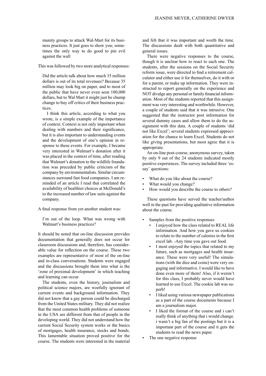munity groups to attack Wal-Mart for its business practices. It just goes to show you; sometimes the only way to do good to pin evil against the wall

This was followed by two more analytical responses:

Did the article talk about how much 35 million dollars is out of its total revenues? Because 35 million may look big on paper, and to most of the public that have never even seen 100,000 dollars, but to Wal Mart it might just be chump change to buy off critics of their business practices.

I think this article, according to what you wrote, is a simple example of the importance of context. Context is not only important when dealing with numbers and their significance, but it is also important to understanding events and the development of one's opinion in response to these events. For example, I became very interested in Walmart's donation after it was placed in the context of time, after reading that Walmart's donation to the wildlife foundation was preceded by public criticism of the company by environmentalists.Similar circumstances surround fast food companies. I am reminded of an article I read that correlated the availability of healthier choices at McDonald's to the increased number of law suits against the company.

A final response from yet another student was:

I'm out of the loop. What was wrong with Walmart's business practices?

It should be noted that on-line discussion provides documentation that generally does not occur for classroom discussions and, therefore, has considerable value for reflection on the course. These two examples are representative of most of the on-line and in-class conversations. Students were engaged and the discussions brought them into what is the 'zone of proximal development' in which teaching and learning can occur.

The students, even the history, journalism and political science majors, are woefully ignorant of current events and background information. They did not know that a gay person could be discharged from the United States military. They did not realize that the most common health problems of someone in the USA are different from that of people in the developing world. They did not understand how the current Social Security system works or the basics of mortgages, health insurance, stocks and bonds. This lamentable situation proved positive for the course. The students were interested in the material

and felt that it was important and worth the time. The discussions dealt with both quantitative and general issues.

There were negative responses to the course, though it is unclear how to react to each one. The students, after the sessions on the Social Security reform issue, were directed to find a retirement calculator and either use it for themselves, do it with or for a parent, or make up information. They were instructed to report generally on the experience and NOT divulge any personal or family financial information. Most of the students reported that this assignment was very interesting and worthwhile. However, a couple of students said that it was intrusive. One suggested that the instructor post information for several dummy cases and allow them to do the assignment with this data. A couple of students 'did not like Excel'; several students expressed appreciation for the chance to learn Excel. Students do not like giving presentations, but most agree that it is appropriate.

An on-line post-course, anonymous survey, taken by only 9 out of the 24 students indicated mostly positive experiences. The survey included three 'essay' questions:

- What do you like about the course?
- What would you change?
- How would you describe the course to others?

These questions have served the teacher/author well in the past for providing qualitative information about the course.

- Samples from the positive responses
	- I enjoyed how the class related to REAL life information. And how you gave us cookies • to relate to the number of calories in the first excel lab. -Any time you gave out food.
	- I most enjoyed the topics that related to my future, such as mortgages and health insurance. These were very useful! The simulations (with the dice and coins) were very engaging and informative. I would like to have done even more of them! Also, if it weren't for this class, I probably never would have learned to use Excel. The cookie lab was superb!
	- I liked using various newspaper publications as a part of the course documents because I am a journalism major.
	- I liked the format of the course and i can't really think of anything that i would change. i wasn't a big fan of the postings but it is a important part of the course and it gets the students to read the news paper.
- The one negative response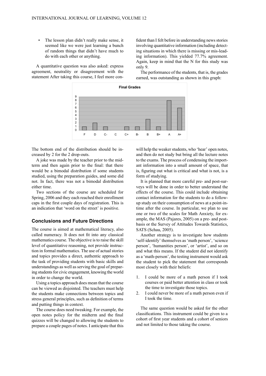The lesson plan didn't really make sense, it seemed like we were just learning a bunch • of random things that didn't have much to do with each other or anything.

A quantitative question was also asked: express agreement, neutrality or disagreement with the statement After taking this course, I feel more confident than I felt before in understanding news stories involving quantitative information (including detecting situations in which there is missing or mis-leading information). This yielded 77.7% agreement. Again, keep in mind that the N for this study was only 9.

The performance of the students, that is, the grades earned, was outstanding as shown in this graph:



The bottom end of the distribution should be increased by 2 for the 2 drop-outs.

A joke was made by the teacher prior to the midterm and then again prior to the final: that there would be a bimodal distribution if some students studied, using the preparation guides, and some did not. In fact, there was not a bimodal distribution either time.

Two sections of the course are scheduled for Spring, 2006 and they each reached their enrollment caps in the first couple days of registration. This is an indication that 'word on the street' is positive.

## **Conclusions and Future Directions**

The course is aimed at mathematical literacy, also called numeracy. It does not fit into any classical mathematics course. The objective is to raise the skill level of quantitative reasoning, not provide instruction in formal mathematics. The use of actual stories and topics provides a direct, authentic approach to the task of providing students with basic skills and understandings as well as serving the goal of preparing students for civic engagement, knowing the world in order to change the world.

Using a topics approach does mean that the course can be viewed as disjointed. The teachers must help the students make connections between topics and stress general principles, such as definition of terms and putting things in context.

The course does need tweaking. For example, the open notes policy for the midterm and the final quizzes will be changed to allowing the students to prepare a couple pages of notes. I anticipate that this

will help the weaker students, who 'hear' open notes, and then do not study but bring all the lecture notes to the exams. The process of condensing the important information into a small amount of space, that is, figuring out what is critical and what is not, is a form of studying.

It is planned that more careful pre- and post-surveys will be done in order to better understand the effects of the course. This could include obtaining contact information for the students to do a followup study on their consumption of news at a point-intime after the course. In particular, we plan to use one or two of the scales for Math Anxiety, for example, the MAS (Pajares, 2005) on a pre- and postbasis or the Survey of Attitudes Towards Statistics, SATS (Schau, 2005).

Another strategy is to investigate how students 'self-identify' themselves as 'math person', 'science person', 'humanities person', or 'artist', and so on and what this means. If the student did not identify as a 'math-person', the testing instrument would ask the student to pick the statement that corresponds most closely with their beliefs:

- 1. I could be more of a math person if I took courses or paid better attention in class or took the time to investigate those topics.
- 2. I could never be more of a math person even if I took the time.

The same question would be asked for the other classifications. This instrument could be given to a cohort of first year students and a cohort of seniors and not limited to those taking the course.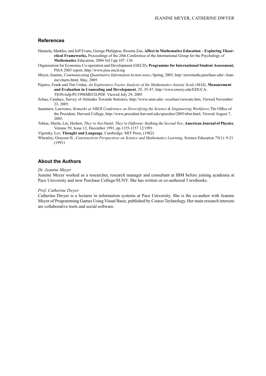## **References**

- Hannula, Markku, and Jeff Evans, George Philippou, Rosetta Zan, **Affect in Mathematics Education – Exploring Theoretical Frameworks,** Proceedings of the 28th Conference of the International Group for the Psychology of **Mathematics** Education, 2004 Vol I pp 107–136
- Organisation for Economic Co-operation and Development (OECD), **Programme for International Student Assessment,** PISA 2003 report, http://www.pisa.oecd.org
- Meyer,Jeanine, *Communicating Quantitative Information lecture notes*, Spring, 2005, http://newmedia.purchase.edu/~Jeanine/charts.html, May, 2005.
- Pajares, Frank and Tim Urdan, *An Exploratory Factor Analysis of the Mathematics Anxiety Scale (MAS)*, **Measurement and Evaluation in Counseling and Development**, 29, 35-47, http://www.emory.edu/EDUCA-TION/mfp/PU1996MECD.PDF. Viewed July 29, 2005
- Schau, Candace, Survey of Attitudes Towards Statistics, http://www.unm.edu/~ecschau/viewsats.htm, Viewed November 23, 2005.
- Summers, Lawrence, *Remarks at NBER Conference on Diversifying the Science & Engineering Workforce,*The Office of the President, Harvard College, http://www.president.harvard.edu/speeches/2005/nber.html, Viewed August 7, 2005.
- Tobias, Sheila; Lin, Herbert, *They're Not Dumb, They're Different: Stalking the Second Tier*, **American Journal of Physics**, Volume 59, Issue 12, December 1991, pp.1155-1157 12/1991
- Vigotsky, Lev, **Thought and Language**, Cambridge: MIT Press, (1962)
- Wheatley, Grayson H., *Constructivist Perspectives on Science and Mathematics Learning*, Science Education 75(1): 9-21 (1991)

#### **About the Authors**

*Dr. Jeanine Meyer*

Jeanine Meyer worked as a researcher, research manager and consultant at IBM before joining academia at Pace University and now Purchase College/SUNY. She has written or co-authored 3 textbooks.

#### *Prof. Catherine Dwyer*

Catherine Dwyer is a lecturer in information systems at Pace University. She is the co-author with Jeanine Meyer ofProgramming Games Using Visual Basic, published by Course Technology. Her main research interests are collaborative tools and social software.